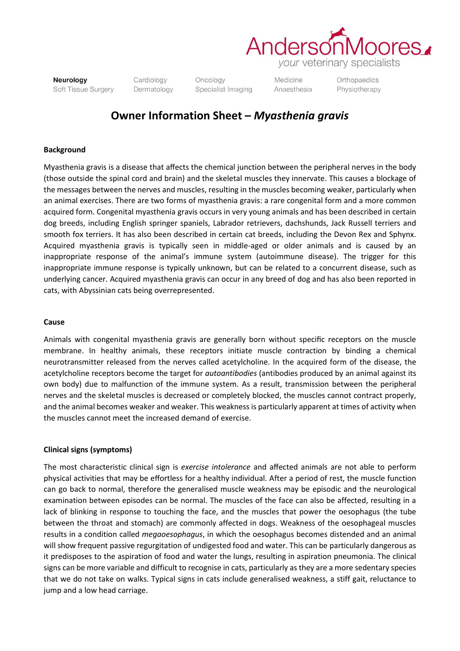

Neurology Soft Tissue Surgery Cardiology Dermatology Oncology Specialist Imaging

Medicine Anaesthesia Orthopaedics Physiotherapy

# **Owner Information Sheet –** *Myasthenia gravis*

## **Background**

Myasthenia gravis is a disease that affects the chemical junction between the peripheral nerves in the body (those outside the spinal cord and brain) and the skeletal muscles they innervate. This causes a blockage of the messages between the nerves and muscles, resulting in the muscles becoming weaker, particularly when an animal exercises. There are two forms of myasthenia gravis: a rare congenital form and a more common acquired form. Congenital myasthenia gravis occurs in very young animals and has been described in certain dog breeds, including English springer spaniels, Labrador retrievers, dachshunds, Jack Russell terriers and smooth fox terriers. It has also been described in certain cat breeds, including the Devon Rex and Sphynx. Acquired myasthenia gravis is typically seen in middle-aged or older animals and is caused by an inappropriate response of the animal's immune system (autoimmune disease). The trigger for this inappropriate immune response is typically unknown, but can be related to a concurrent disease, such as underlying cancer. Acquired myasthenia gravis can occur in any breed of dog and has also been reported in cats, with Abyssinian cats being overrepresented.

#### **Cause**

Animals with congenital myasthenia gravis are generally born without specific receptors on the muscle membrane. In healthy animals, these receptors initiate muscle contraction by binding a chemical neurotransmitter released from the nerves called acetylcholine. In the acquired form of the disease, the acetylcholine receptors become the target for *autoantibodies* (antibodies produced by an animal against its own body) due to malfunction of the immune system. As a result, transmission between the peripheral nerves and the skeletal muscles is decreased or completely blocked, the muscles cannot contract properly, and the animal becomes weaker and weaker. This weakness is particularly apparent at times of activity when the muscles cannot meet the increased demand of exercise.

#### **Clinical signs (symptoms)**

The most characteristic clinical sign is *exercise intolerance* and affected animals are not able to perform physical activities that may be effortless for a healthy individual. After a period of rest, the muscle function can go back to normal, therefore the generalised muscle weakness may be episodic and the neurological examination between episodes can be normal. The muscles of the face can also be affected, resulting in a lack of blinking in response to touching the face, and the muscles that power the oesophagus (the tube between the throat and stomach) are commonly affected in dogs. Weakness of the oesophageal muscles results in a condition called *megaoesophagus*, in which the oesophagus becomes distended and an animal will show frequent passive regurgitation of undigested food and water. This can be particularly dangerous as it predisposes to the aspiration of food and water the lungs, resulting in aspiration pneumonia. The clinical signs can be more variable and difficult to recognise in cats, particularly as they are a more sedentary species that we do not take on walks. Typical signs in cats include generalised weakness, a stiff gait, reluctance to jump and a low head carriage.